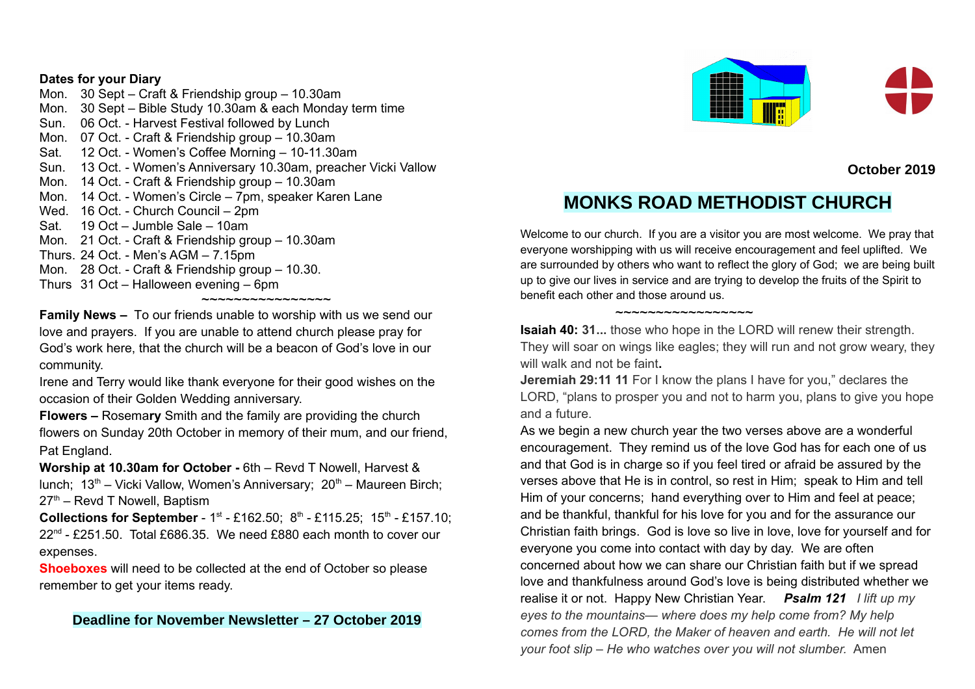## **Dates for your Diary**

Mon. 30 Sept – Craft & Friendship group – 10.30am Mon. 30 Sept – Bible Study 10.30am & each Monday term time Sun. 06 Oct. - Harvest Festival followed by Lunch Mon. 07 Oct. - Craft & Friendship group – 10.30am Sat. 12 Oct. - Women's Coffee Morning – 10-11.30am Sun. 13 Oct. - Women's Anniversary 10.30am, preacher Vicki Vallow Mon. 14 Oct. - Craft & Friendship group – 10.30am Mon. 14 Oct. - Women's Circle – 7pm, speaker Karen Lane Wed. 16 Oct. - Church Council – 2pm Sat. 19 Oct – Jumble Sale – 10am Mon. 21 Oct. - Craft & Friendship group – 10.30am Thurs. 24 Oct. - Men's AGM – 7.15pm Mon. 28 Oct. - Craft & Friendship group – 10.30. Thurs 31 Oct – Halloween evening – 6pm

~~~~~~~~~~~~~~~~

**Family News –** To our friends unable to worship with us we send our love and prayers. If you are unable to attend church please pray for God's work here, that the church will be a beacon of God's love in our community.

Irene and Terry would like thank everyone for their good wishes on the occasion of their Golden Wedding anniversary.

**Flowers –** Rosema**ry** Smith and the family are providing the church flowers on Sunday 20th October in memory of their mum, and our friend, Pat England.

**Worship at 10.30am for October -** 6th – Revd T Nowell, Harvest & lunch;  $13<sup>th</sup>$  – Vicki Vallow, Women's Anniversary;  $20<sup>th</sup>$  – Maureen Birch;  $27<sup>th</sup>$  – Revd T Nowell, Baptism

**Collections for September** - 1<sup>st</sup> - £162.50; 8<sup>th</sup> - £115.25; 15<sup>th</sup> - £157.10; 22<sup>nd</sup> - £251.50. Total £686.35. We need £880 each month to cover our expenses.

**Shoeboxes** will need to be collected at the end of October so please remember to get your items ready.

## **Deadline for November Newsletter – 27 October 2019**



**October 2019**

# **MONKS ROAD METHODIST CHURCH**

Welcome to our church. If you are a visitor you are most welcome. We pray that everyone worshipping with us will receive encouragement and feel uplifted. We are surrounded by others who want to reflect the glory of God; we are being built up to give our lives in service and are trying to develop the fruits of the Spirit to benefit each other and those around us.

**Isaiah 40: 31...** those who hope in the LORD will renew their strength. They will soar on wings like eagles; they will run and not grow weary, they will walk and not be faint**.** 

~~~~~~~~~~~~~~~~~

**Jeremiah 29:11 11** For I know the plans I have for you," declares the LORD, "plans to prosper you and not to harm you, plans to give you hope and a future.

As we begin a new church year the two verses above are a wonderful encouragement. They remind us of the love God has for each one of us and that God is in charge so if you feel tired or afraid be assured by the verses above that He is in control, so rest in Him; speak to Him and tell Him of your concerns; hand everything over to Him and feel at peace; and be thankful, thankful for his love for you and for the assurance our Christian faith brings. God is love so live in love, love for yourself and for everyone you come into contact with day by day. We are often concerned about how we can share our Christian faith but if we spread love and thankfulness around God's love is being distributed whether we realise it or not. Happy New Christian Year. *Psalm 121 I lift up my eyes to the mountains— where does my help come from? My help comes from the LORD, the Maker of heaven and earth. He will not let your foot slip – He who watches over you will not slumber.* Amen